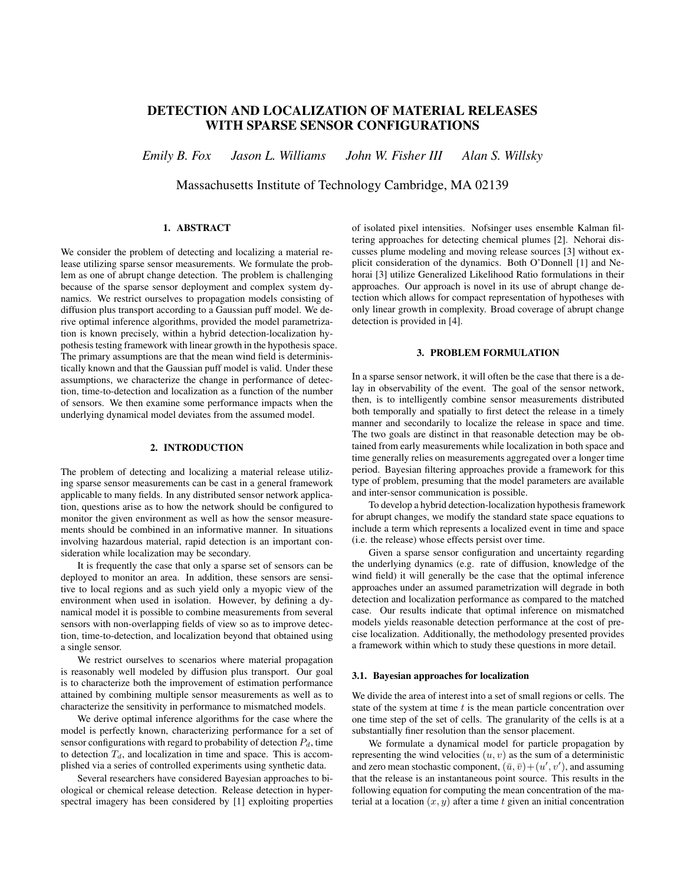# DETECTION AND LOCALIZATION OF MATERIAL RELEASES WITH SPARSE SENSOR CONFIGURATIONS

*Emily B. Fox Jason L. Williams John W. Fisher III Alan S. Willsky*

Massachusetts Institute of Technology Cambridge, MA 02139

# 1. ABSTRACT

We consider the problem of detecting and localizing a material release utilizing sparse sensor measurements. We formulate the problem as one of abrupt change detection. The problem is challenging because of the sparse sensor deployment and complex system dynamics. We restrict ourselves to propagation models consisting of diffusion plus transport according to a Gaussian puff model. We derive optimal inference algorithms, provided the model parametrization is known precisely, within a hybrid detection-localization hypothesis testing framework with linear growth in the hypothesis space. The primary assumptions are that the mean wind field is deterministically known and that the Gaussian puff model is valid. Under these assumptions, we characterize the change in performance of detection, time-to-detection and localization as a function of the number of sensors. We then examine some performance impacts when the underlying dynamical model deviates from the assumed model.

# 2. INTRODUCTION

The problem of detecting and localizing a material release utilizing sparse sensor measurements can be cast in a general framework applicable to many fields. In any distributed sensor network application, questions arise as to how the network should be configured to monitor the given environment as well as how the sensor measurements should be combined in an informative manner. In situations involving hazardous material, rapid detection is an important consideration while localization may be secondary.

It is frequently the case that only a sparse set of sensors can be deployed to monitor an area. In addition, these sensors are sensitive to local regions and as such yield only a myopic view of the environment when used in isolation. However, by defining a dynamical model it is possible to combine measurements from several sensors with non-overlapping fields of view so as to improve detection, time-to-detection, and localization beyond that obtained using a single sensor.

We restrict ourselves to scenarios where material propagation is reasonably well modeled by diffusion plus transport. Our goal is to characterize both the improvement of estimation performance attained by combining multiple sensor measurements as well as to characterize the sensitivity in performance to mismatched models.

We derive optimal inference algorithms for the case where the model is perfectly known, characterizing performance for a set of sensor configurations with regard to probability of detection  $P_d$ , time to detection  $T_d$ , and localization in time and space. This is accomplished via a series of controlled experiments using synthetic data.

Several researchers have considered Bayesian approaches to biological or chemical release detection. Release detection in hyperspectral imagery has been considered by [1] exploiting properties of isolated pixel intensities. Nofsinger uses ensemble Kalman filtering approaches for detecting chemical plumes [2]. Nehorai discusses plume modeling and moving release sources [3] without explicit consideration of the dynamics. Both O'Donnell [1] and Nehorai [3] utilize Generalized Likelihood Ratio formulations in their approaches. Our approach is novel in its use of abrupt change detection which allows for compact representation of hypotheses with only linear growth in complexity. Broad coverage of abrupt change detection is provided in [4].

### 3. PROBLEM FORMULATION

In a sparse sensor network, it will often be the case that there is a delay in observability of the event. The goal of the sensor network, then, is to intelligently combine sensor measurements distributed both temporally and spatially to first detect the release in a timely manner and secondarily to localize the release in space and time. The two goals are distinct in that reasonable detection may be obtained from early measurements while localization in both space and time generally relies on measurements aggregated over a longer time period. Bayesian filtering approaches provide a framework for this type of problem, presuming that the model parameters are available and inter-sensor communication is possible.

To develop a hybrid detection-localization hypothesis framework for abrupt changes, we modify the standard state space equations to include a term which represents a localized event in time and space (i.e. the release) whose effects persist over time.

Given a sparse sensor configuration and uncertainty regarding the underlying dynamics (e.g. rate of diffusion, knowledge of the wind field) it will generally be the case that the optimal inference approaches under an assumed parametrization will degrade in both detection and localization performance as compared to the matched case. Our results indicate that optimal inference on mismatched models yields reasonable detection performance at the cost of precise localization. Additionally, the methodology presented provides a framework within which to study these questions in more detail.

#### 3.1. Bayesian approaches for localization

We divide the area of interest into a set of small regions or cells. The state of the system at time  $t$  is the mean particle concentration over one time step of the set of cells. The granularity of the cells is at a substantially finer resolution than the sensor placement.

We formulate a dynamical model for particle propagation by representing the wind velocities  $(u, v)$  as the sum of a deterministic and zero mean stochastic component,  $(\bar{u}, \bar{v}) + (u', v')$ , and assuming that the release is an instantaneous point source. This results in the following equation for computing the mean concentration of the material at a location  $(x, y)$  after a time t given an initial concentration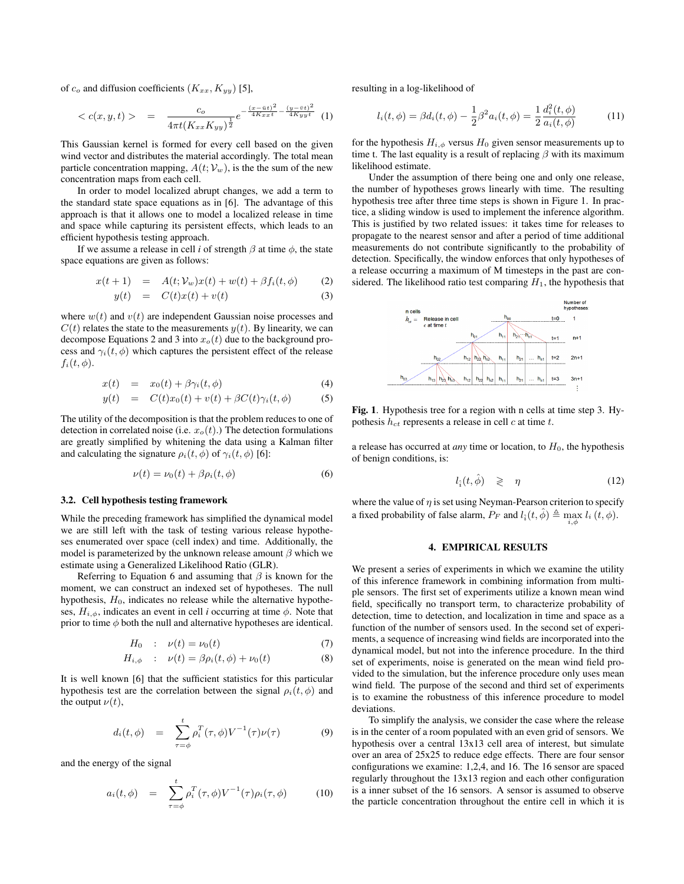of  $c_o$  and diffusion coefficients  $(K_{xx}, K_{yy})$  [5],

$$
\langle c(x,y,t) \rangle = \frac{c_o}{4\pi t (K_{xx}K_{yy})^{\frac{1}{2}}} e^{-\frac{(x-\bar{u}t)^2}{4K_{xx}t} - \frac{(y-\bar{v}t)^2}{4K_{yy}t}} \tag{1}
$$

This Gaussian kernel is formed for every cell based on the given wind vector and distributes the material accordingly. The total mean particle concentration mapping,  $A(t; V_w)$ , is the the sum of the new concentration maps from each cell.

In order to model localized abrupt changes, we add a term to the standard state space equations as in [6]. The advantage of this approach is that it allows one to model a localized release in time and space while capturing its persistent effects, which leads to an efficient hypothesis testing approach.

If we assume a release in cell *i* of strength  $\beta$  at time  $\phi$ , the state space equations are given as follows:

$$
x(t+1) = A(t; \mathcal{V}_w)x(t) + w(t) + \beta f_i(t, \phi) \tag{2}
$$

$$
y(t) = C(t)x(t) + v(t)
$$
\n(3)

where  $w(t)$  and  $v(t)$  are independent Gaussian noise processes and  $C(t)$  relates the state to the measurements  $y(t)$ . By linearity, we can decompose Equations 2 and 3 into  $x<sub>o</sub>(t)$  due to the background process and  $\gamma_i(t, \phi)$  which captures the persistent effect of the release  $f_i(t, \phi)$ .

$$
x(t) = x_0(t) + \beta \gamma_i(t, \phi) \tag{4}
$$

$$
y(t) = C(t)x_0(t) + v(t) + \beta C(t)\gamma_i(t,\phi)
$$
 (5)

The utility of the decomposition is that the problem reduces to one of detection in correlated noise (i.e.  $x<sub>o</sub>(t)$ .) The detection formulations are greatly simplified by whitening the data using a Kalman filter and calculating the signature  $\rho_i(t, \phi)$  of  $\gamma_i(t, \phi)$  [6]:

$$
\nu(t) = \nu_0(t) + \beta \rho_i(t, \phi) \tag{6}
$$

#### 3.2. Cell hypothesis testing framework

While the preceding framework has simplified the dynamical model we are still left with the task of testing various release hypotheses enumerated over space (cell index) and time. Additionally, the model is parameterized by the unknown release amount  $\beta$  which we estimate using a Generalized Likelihood Ratio (GLR).

Referring to Equation 6 and assuming that  $\beta$  is known for the moment, we can construct an indexed set of hypotheses. The null hypothesis,  $H_0$ , indicates no release while the alternative hypotheses,  $H_{i, \phi}$ , indicates an event in cell *i* occurring at time  $\phi$ . Note that prior to time  $\phi$  both the null and alternative hypotheses are identical.

$$
H_0 : \nu(t) = \nu_0(t) \tag{7}
$$

$$
H_{i, \phi} : \nu(t) = \beta \rho_i(t, \phi) + \nu_0(t) \tag{8}
$$

It is well known [6] that the sufficient statistics for this particular hypothesis test are the correlation between the signal  $\rho_i(t, \phi)$  and the output  $\nu(t)$ ,

$$
d_i(t,\phi) = \sum_{\tau=\phi}^t \rho_i^T(\tau,\phi) V^{-1}(\tau) \nu(\tau) \tag{9}
$$

and the energy of the signal

$$
a_i(t,\phi) = \sum_{\tau=\phi}^t \rho_i^T(\tau,\phi) V^{-1}(\tau) \rho_i(\tau,\phi) \tag{10}
$$

resulting in a log-likelihood of

$$
l_i(t, \phi) = \beta d_i(t, \phi) - \frac{1}{2} \beta^2 a_i(t, \phi) = \frac{1}{2} \frac{d_i^2(t, \phi)}{a_i(t, \phi)}
$$
(11)

for the hypothesis  $H_{i, \phi}$  versus  $H_0$  given sensor measurements up to time t. The last equality is a result of replacing  $\beta$  with its maximum likelihood estimate.

Under the assumption of there being one and only one release, the number of hypotheses grows linearly with time. The resulting hypothesis tree after three time steps is shown in Figure 1. In practice, a sliding window is used to implement the inference algorithm. This is justified by two related issues: it takes time for releases to propagate to the nearest sensor and after a period of time additional measurements do not contribute significantly to the probability of detection. Specifically, the window enforces that only hypotheses of a release occurring a maximum of M timesteps in the past are considered. The likelihood ratio test comparing  $H_1$ , the hypothesis that



Fig. 1. Hypothesis tree for a region with n cells at time step 3. Hypothesis  $h_{ct}$  represents a release in cell  $c$  at time  $t$ .

a release has occurred at *any* time or location, to  $H_0$ , the hypothesis of benign conditions, is:

$$
l_{\hat{i}}(t,\hat{\phi}) \geqslant \eta \tag{12}
$$

where the value of  $\eta$  is set using Neyman-Pearson criterion to specify a fixed probability of false alarm,  $P_F$  and  $l_i(t, \hat{\phi}) \triangleq \max_{i, \phi} l_i(t, \phi)$ .

#### 4. EMPIRICAL RESULTS

We present a series of experiments in which we examine the utility of this inference framework in combining information from multiple sensors. The first set of experiments utilize a known mean wind field, specifically no transport term, to characterize probability of detection, time to detection, and localization in time and space as a function of the number of sensors used. In the second set of experiments, a sequence of increasing wind fields are incorporated into the dynamical model, but not into the inference procedure. In the third set of experiments, noise is generated on the mean wind field provided to the simulation, but the inference procedure only uses mean wind field. The purpose of the second and third set of experiments is to examine the robustness of this inference procedure to model deviations.

To simplify the analysis, we consider the case where the release is in the center of a room populated with an even grid of sensors. We hypothesis over a central 13x13 cell area of interest, but simulate over an area of 25x25 to reduce edge effects. There are four sensor configurations we examine: 1,2,4, and 16. The 16 sensor are spaced regularly throughout the 13x13 region and each other configuration is a inner subset of the 16 sensors. A sensor is assumed to observe the particle concentration throughout the entire cell in which it is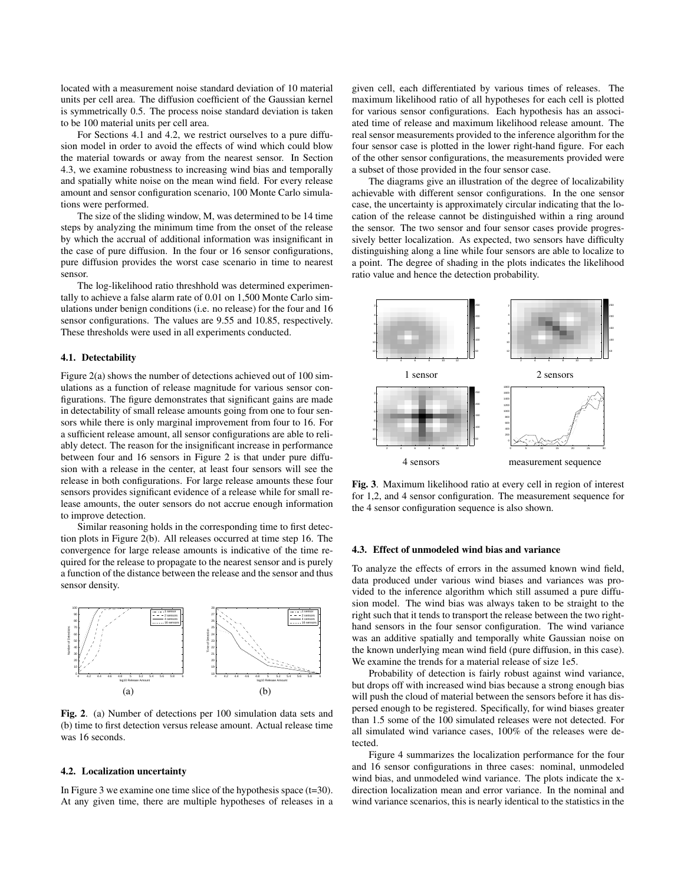located with a measurement noise standard deviation of 10 material units per cell area. The diffusion coefficient of the Gaussian kernel is symmetrically 0.5. The process noise standard deviation is taken to be 100 material units per cell area.

For Sections 4.1 and 4.2, we restrict ourselves to a pure diffusion model in order to avoid the effects of wind which could blow the material towards or away from the nearest sensor. In Section 4.3, we examine robustness to increasing wind bias and temporally and spatially white noise on the mean wind field. For every release amount and sensor configuration scenario, 100 Monte Carlo simulations were performed.

The size of the sliding window, M, was determined to be 14 time steps by analyzing the minimum time from the onset of the release by which the accrual of additional information was insignificant in the case of pure diffusion. In the four or 16 sensor configurations, pure diffusion provides the worst case scenario in time to nearest sensor.

The log-likelihood ratio threshhold was determined experimentally to achieve a false alarm rate of 0.01 on 1,500 Monte Carlo simulations under benign conditions (i.e. no release) for the four and 16 sensor configurations. The values are 9.55 and 10.85, respectively. These thresholds were used in all experiments conducted.

#### 4.1. Detectability

Figure 2(a) shows the number of detections achieved out of 100 simulations as a function of release magnitude for various sensor configurations. The figure demonstrates that significant gains are made in detectability of small release amounts going from one to four sensors while there is only marginal improvement from four to 16. For a sufficient release amount, all sensor configurations are able to reliably detect. The reason for the insignificant increase in performance between four and 16 sensors in Figure 2 is that under pure diffusion with a release in the center, at least four sensors will see the release in both configurations. For large release amounts these four sensors provides significant evidence of a release while for small release amounts, the outer sensors do not accrue enough information to improve detection.

Similar reasoning holds in the corresponding time to first detection plots in Figure 2(b). All releases occurred at time step 16. The convergence for large release amounts is indicative of the time required for the release to propagate to the nearest sensor and is purely a function of the distance between the release and the sensor and thus sensor density.



Fig. 2. (a) Number of detections per 100 simulation data sets and (b) time to first detection versus release amount. Actual release time was 16 seconds.

## 4.2. Localization uncertainty

In Figure 3 we examine one time slice of the hypothesis space  $(t=30)$ . At any given time, there are multiple hypotheses of releases in a given cell, each differentiated by various times of releases. The maximum likelihood ratio of all hypotheses for each cell is plotted for various sensor configurations. Each hypothesis has an associated time of release and maximum likelihood release amount. The real sensor measurements provided to the inference algorithm for the four sensor case is plotted in the lower right-hand figure. For each of the other sensor configurations, the measurements provided were a subset of those provided in the four sensor case.

The diagrams give an illustration of the degree of localizability achievable with different sensor configurations. In the one sensor case, the uncertainty is approximately circular indicating that the location of the release cannot be distinguished within a ring around the sensor. The two sensor and four sensor cases provide progressively better localization. As expected, two sensors have difficulty distinguishing along a line while four sensors are able to localize to a point. The degree of shading in the plots indicates the likelihood ratio value and hence the detection probability.



Fig. 3. Maximum likelihood ratio at every cell in region of interest for 1,2, and 4 sensor configuration. The measurement sequence for the 4 sensor configuration sequence is also shown.

#### 4.3. Effect of unmodeled wind bias and variance

To analyze the effects of errors in the assumed known wind field, data produced under various wind biases and variances was provided to the inference algorithm which still assumed a pure diffusion model. The wind bias was always taken to be straight to the right such that it tends to transport the release between the two righthand sensors in the four sensor configuration. The wind variance was an additive spatially and temporally white Gaussian noise on the known underlying mean wind field (pure diffusion, in this case). We examine the trends for a material release of size 1e5.

Probability of detection is fairly robust against wind variance, but drops off with increased wind bias because a strong enough bias will push the cloud of material between the sensors before it has dispersed enough to be registered. Specifically, for wind biases greater than 1.5 some of the 100 simulated releases were not detected. For all simulated wind variance cases, 100% of the releases were detected.

Figure 4 summarizes the localization performance for the four and 16 sensor configurations in three cases: nominal, unmodeled wind bias, and unmodeled wind variance. The plots indicate the xdirection localization mean and error variance. In the nominal and wind variance scenarios, this is nearly identical to the statistics in the